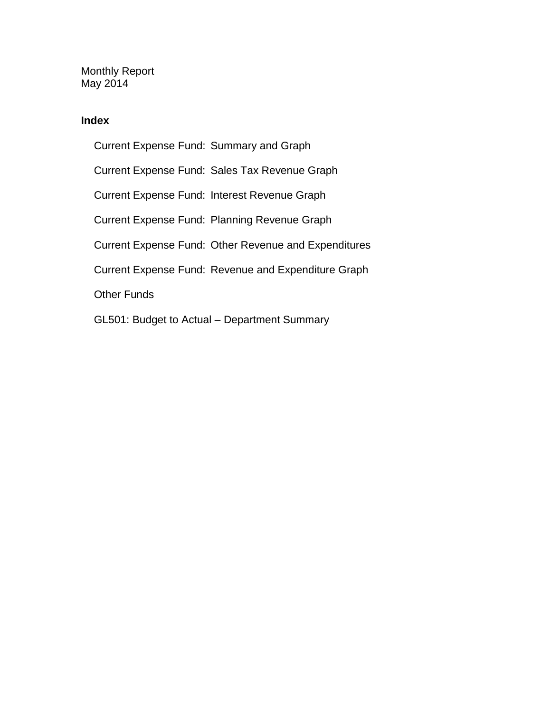Monthly Report May 2014

### **Index**

Current Expense Fund: Summary and Graph Current Expense Fund: Sales Tax Revenue Graph Current Expense Fund: Interest Revenue Graph Current Expense Fund: Planning Revenue Graph Current Expense Fund: Other Revenue and Expenditures Current Expense Fund: Revenue and Expenditure Graph Other Funds GL501: Budget to Actual – Department Summary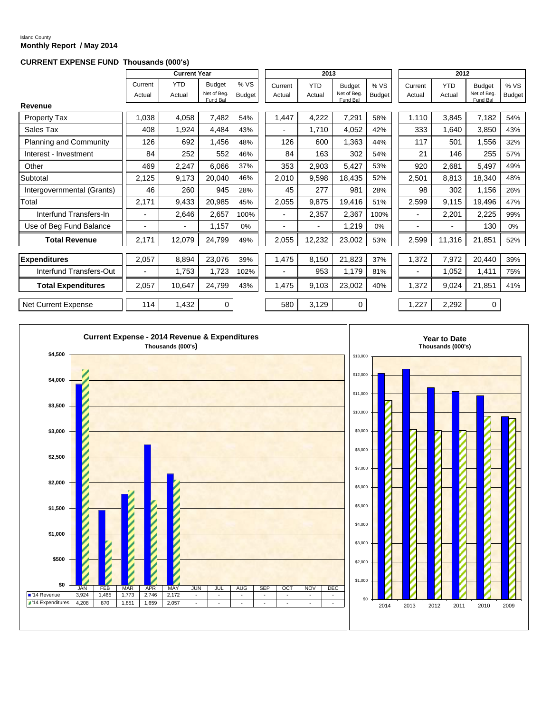#### Island County **Monthly Report / May 2014**

#### **CURRENT EXPENSE FUND Thousands (000's)**

|                               |                          | <b>Current Year</b>  |                                          |                      |                   | 2013                 |                                          |                      |                   | 2012                 |                                         |                      |
|-------------------------------|--------------------------|----------------------|------------------------------------------|----------------------|-------------------|----------------------|------------------------------------------|----------------------|-------------------|----------------------|-----------------------------------------|----------------------|
|                               | Current<br>Actual        | <b>YTD</b><br>Actual | <b>Budget</b><br>Net of Beg.<br>Fund Bal | %VS<br><b>Budget</b> | Current<br>Actual | <b>YTD</b><br>Actual | <b>Budget</b><br>Net of Beg.<br>Fund Bal | %VS<br><b>Budget</b> | Current<br>Actual | <b>YTD</b><br>Actual | <b>Budget</b><br>Net of Bea<br>Fund Bal | %VS<br><b>Budget</b> |
| Revenue                       |                          |                      |                                          |                      |                   |                      |                                          |                      |                   |                      |                                         |                      |
| <b>Property Tax</b>           | 1,038                    | 4,058                | 7,482                                    | 54%                  | 1,447             | 4,222                | 7,291                                    | 58%                  | 1,110             | 3,845                | 7,182                                   | 54%                  |
| Sales Tax                     | 408                      | 1,924                | 4,484                                    | 43%                  |                   | 1,710                | 4,052                                    | 42%                  | 333               | 1,640                | 3,850                                   | 43%                  |
| <b>Planning and Community</b> | 126                      | 692                  | 1,456                                    | 48%                  | 126               | 600                  | 1,363                                    | 44%                  | 117               | 501                  | 1,556                                   | 32%                  |
| Interest - Investment         | 84                       | 252                  | 552                                      | 46%                  | 84                | 163                  | 302                                      | 54%                  | 21                | 146                  | 255                                     | 57%                  |
| Other                         | 469                      | 2,247                | 6,066                                    | 37%                  | 353               | 2,903                | 5,427                                    | 53%                  | 920               | 2,681                | 5,497                                   | 49%                  |
| Subtotal                      | 2,125                    | 9,173                | 20,040                                   | 46%                  | 2,010             | 9,598                | 18,435                                   | 52%                  | 2,501             | 8,813                | 18,340                                  | 48%                  |
| Intergovernmental (Grants)    | 46                       | 260                  | 945                                      | 28%                  | 45                | 277                  | 981                                      | 28%                  | 98                | 302                  | 1,156                                   | 26%                  |
| Total                         | 2,171                    | 9,433                | 20,985                                   | 45%                  | 2,055             | 9,875                | 19,416                                   | 51%                  | 2,599             | 9,115                | 19,496                                  | 47%                  |
| Interfund Transfers-In        |                          | 2,646                | 2,657                                    | 100%                 |                   | 2,357                | 2,367                                    | 100%                 |                   | 2,201                | 2,225                                   | 99%                  |
| Use of Beg Fund Balance       | $\blacksquare$           | $\blacksquare$       | 1,157                                    | 0%                   | $\overline{a}$    | $\blacksquare$       | 1,219                                    | 0%                   |                   | -                    | 130                                     | 0%                   |
| <b>Total Revenue</b>          | 2,171                    | 12,079               | 24,799                                   | 49%                  | 2,055             | 12,232               | 23,002                                   | 53%                  | 2,599             | 11,316               | 21,851                                  | 52%                  |
| <b>Expenditures</b>           | 2,057                    | 8,894                | 23,076                                   | 39%                  | 1,475             | 8,150                | 21,823                                   | 37%                  | 1,372             | 7,972                | 20,440                                  | 39%                  |
| Interfund Transfers-Out       | $\overline{\phantom{a}}$ | 1,753                | 1,723                                    | 102%                 |                   | 953                  | 1,179                                    | 81%                  |                   | 1,052                | 1,411                                   | 75%                  |
| <b>Total Expenditures</b>     | 2,057                    | 10,647               | 24,799                                   | 43%                  | 1,475             | 9,103                | 23,002                                   | 40%                  | 1,372             | 9,024                | 21,851                                  | 41%                  |
| Net Current Expense           | 114                      | 1,432                | $\mathbf 0$                              |                      | 580               | 3,129                | 0                                        |                      | 1,227             | 2,292                | 0                                       |                      |

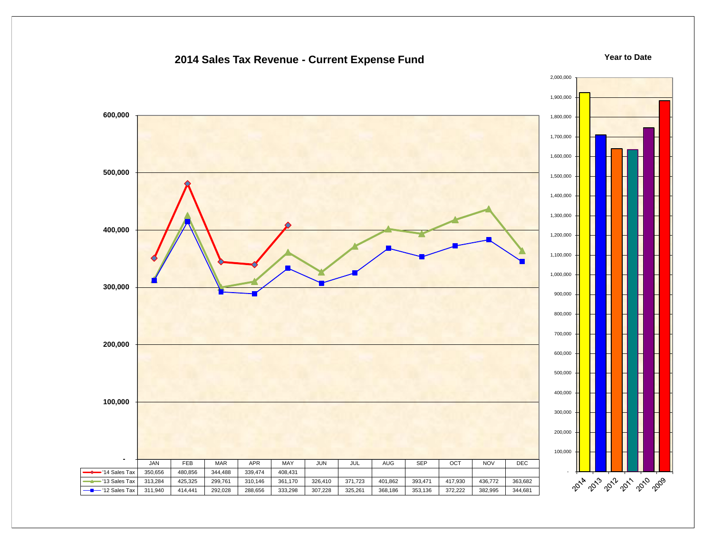### **2014 Sales Tax Revenue - Current Expense Fund**

#### **Year to Date**

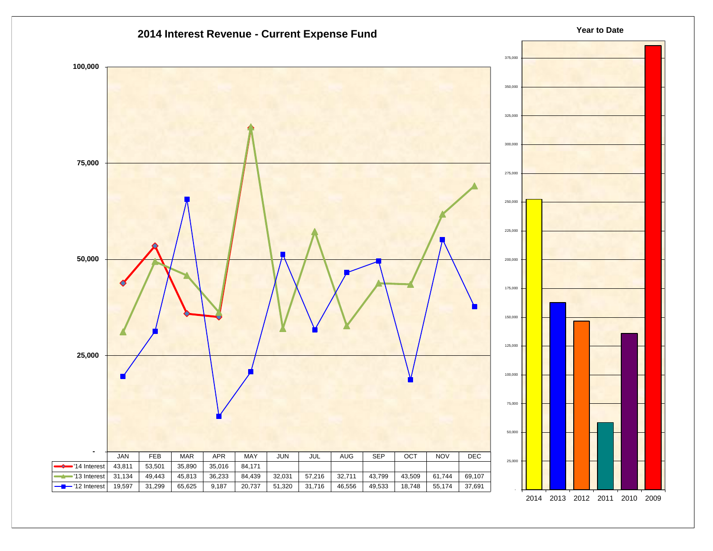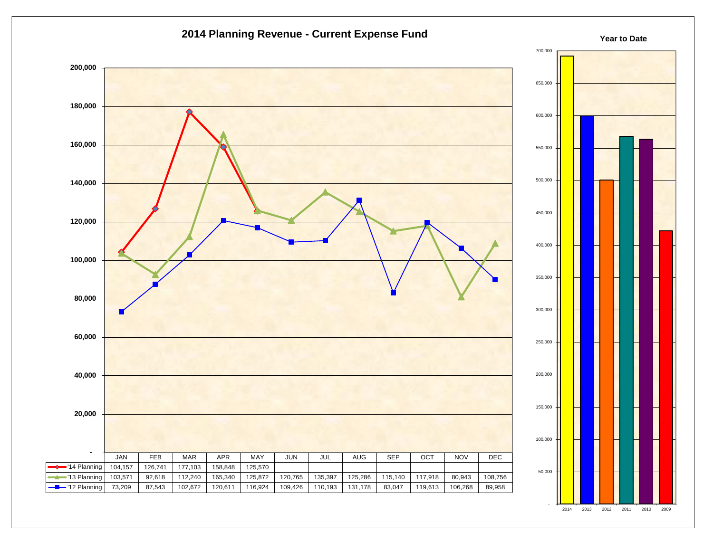

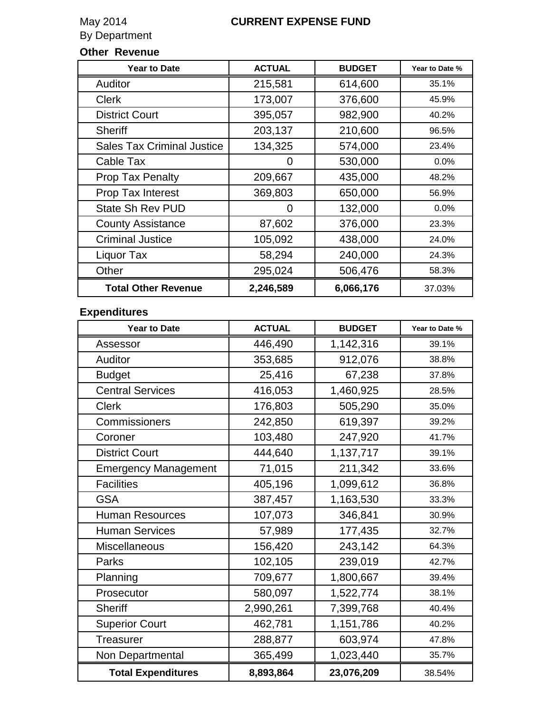### **CURRENT EXPENSE FUND**

May 2014<br>By Department

### **Other Revenue**

| <b>Year to Date</b>               | <b>ACTUAL</b> | <b>BUDGET</b> | Year to Date % |
|-----------------------------------|---------------|---------------|----------------|
| Auditor                           | 215,581       | 614,600       | 35.1%          |
| <b>Clerk</b>                      | 173,007       | 376,600       | 45.9%          |
| <b>District Court</b>             | 395,057       | 982,900       | 40.2%          |
| <b>Sheriff</b>                    | 203,137       | 210,600       | 96.5%          |
| <b>Sales Tax Criminal Justice</b> | 134,325       | 574,000       | 23.4%          |
| Cable Tax                         | O             | 530,000       | $0.0\%$        |
| <b>Prop Tax Penalty</b>           | 209,667       | 435,000       | 48.2%          |
| Prop Tax Interest                 | 369,803       | 650,000       | 56.9%          |
| <b>State Sh Rev PUD</b>           | Ω             | 132,000       | 0.0%           |
| <b>County Assistance</b>          | 87,602        | 376,000       | 23.3%          |
| <b>Criminal Justice</b>           | 105,092       | 438,000       | 24.0%          |
| Liquor Tax                        | 58,294        | 240,000       | 24.3%          |
| Other                             | 295,024       | 506,476       | 58.3%          |
| <b>Total Other Revenue</b>        | 2,246,589     | 6,066,176     | 37.03%         |

## **Expenditures**

| <b>Year to Date</b>         | <b>ACTUAL</b> | <b>BUDGET</b> | Year to Date % |
|-----------------------------|---------------|---------------|----------------|
| Assessor                    | 446,490       | 1,142,316     | 39.1%          |
| Auditor                     | 353,685       | 912,076       | 38.8%          |
| <b>Budget</b>               | 25,416        | 67,238        | 37.8%          |
| <b>Central Services</b>     | 416,053       | 1,460,925     | 28.5%          |
| <b>Clerk</b>                | 176,803       | 505,290       | 35.0%          |
| Commissioners               | 242,850       | 619,397       | 39.2%          |
| Coroner                     | 103,480       | 247,920       | 41.7%          |
| <b>District Court</b>       | 444,640       | 1,137,717     | 39.1%          |
| <b>Emergency Management</b> | 71,015        | 211,342       | 33.6%          |
| <b>Facilities</b>           | 405,196       | 1,099,612     | 36.8%          |
| <b>GSA</b>                  | 387,457       | 1,163,530     | 33.3%          |
| <b>Human Resources</b>      | 107,073       | 346,841       | 30.9%          |
| <b>Human Services</b>       | 57,989        | 177,435       | 32.7%          |
| <b>Miscellaneous</b>        | 156,420       | 243,142       | 64.3%          |
| Parks                       | 102,105       | 239,019       | 42.7%          |
| Planning                    | 709,677       | 1,800,667     | 39.4%          |
| Prosecutor                  | 580,097       | 1,522,774     | 38.1%          |
| <b>Sheriff</b>              | 2,990,261     | 7,399,768     | 40.4%          |
| <b>Superior Court</b>       | 462,781       | 1,151,786     | 40.2%          |
| <b>Treasurer</b>            | 288,877       | 603,974       | 47.8%          |
| Non Departmental            | 365,499       | 1,023,440     | 35.7%          |
| <b>Total Expenditures</b>   | 8,893,864     | 23,076,209    | 38.54%         |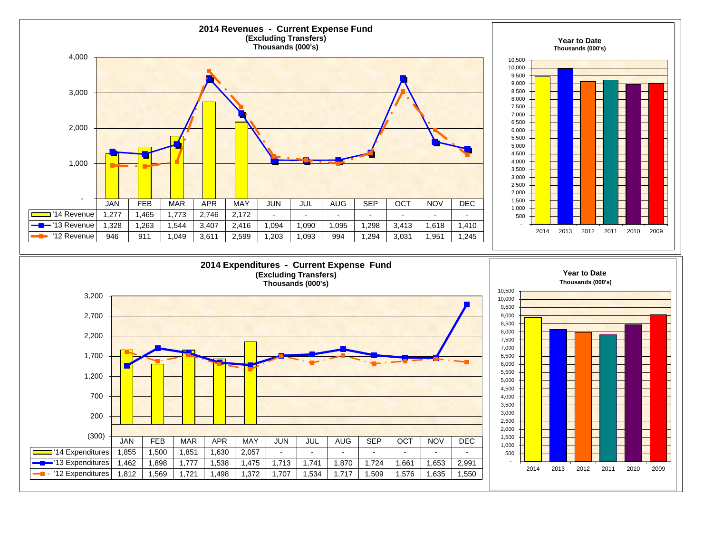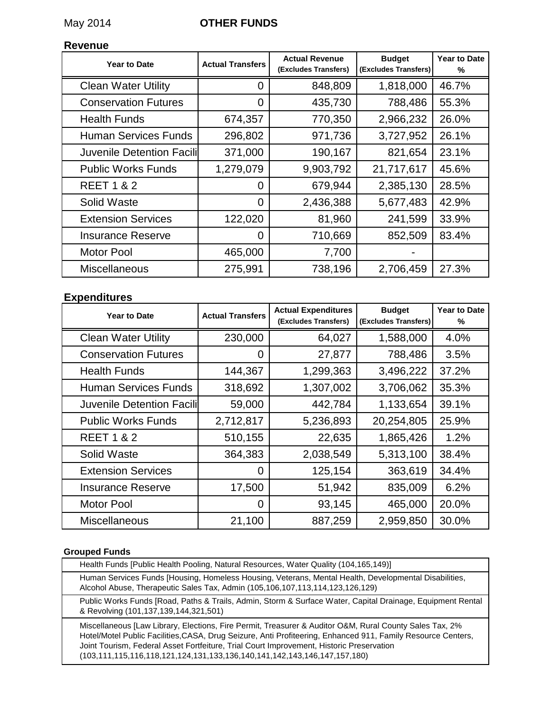### May 2014 **OTHER FUNDS**

### **Revenue**

| <b>Year to Date</b>              | <b>Actual Transfers</b> | <b>Actual Revenue</b><br>(Excludes Transfers) | <b>Budget</b><br>(Excludes Transfers) | <b>Year to Date</b><br>% |
|----------------------------------|-------------------------|-----------------------------------------------|---------------------------------------|--------------------------|
| <b>Clean Water Utility</b>       | 0                       | 848,809                                       | 1,818,000                             | 46.7%                    |
| <b>Conservation Futures</b>      | $\overline{0}$          | 435,730                                       | 788,486                               | 55.3%                    |
| <b>Health Funds</b>              | 674,357                 | 770,350                                       | 2,966,232                             | 26.0%                    |
| <b>Human Services Funds</b>      | 296,802                 | 971,736                                       | 3,727,952                             | 26.1%                    |
| <b>Juvenile Detention Facili</b> | 371,000                 | 190,167                                       | 821,654                               | 23.1%                    |
| <b>Public Works Funds</b>        | 1,279,079               | 9,903,792                                     | 21,717,617                            | 45.6%                    |
| <b>REET 1 &amp; 2</b>            | 0                       | 679,944                                       | 2,385,130                             | 28.5%                    |
| Solid Waste                      | 0                       | 2,436,388                                     | 5,677,483                             | 42.9%                    |
| <b>Extension Services</b>        | 122,020                 | 81,960                                        | 241,599                               | 33.9%                    |
| <b>Insurance Reserve</b>         | 0                       | 710,669                                       | 852,509                               | 83.4%                    |
| <b>Motor Pool</b>                | 465,000                 | 7,700                                         |                                       |                          |
| <b>Miscellaneous</b>             | 275,991                 | 738,196                                       | 2,706,459                             | 27.3%                    |

### **Expenditures**

| <b>Year to Date</b>         | <b>Actual Transfers</b> | <b>Actual Expenditures</b><br>(Excludes Transfers) | <b>Budget</b><br>(Excludes Transfers) | <b>Year to Date</b><br>% |
|-----------------------------|-------------------------|----------------------------------------------------|---------------------------------------|--------------------------|
| <b>Clean Water Utility</b>  | 230,000                 | 64,027                                             | 1,588,000                             | 4.0%                     |
| <b>Conservation Futures</b> | 0                       | 27,877                                             | 788,486                               | 3.5%                     |
| <b>Health Funds</b>         | 144,367                 | 1,299,363                                          | 3,496,222                             | 37.2%                    |
| <b>Human Services Funds</b> | 318,692                 | 1,307,002                                          | 3,706,062                             | 35.3%                    |
| Juvenile Detention Facili   | 59,000                  | 442,784                                            | 1,133,654                             | 39.1%                    |
| <b>Public Works Funds</b>   | 2,712,817               | 5,236,893                                          | 20,254,805                            | 25.9%                    |
| <b>REET 1 &amp; 2</b>       | 510,155                 | 22,635                                             | 1,865,426                             | 1.2%                     |
| Solid Waste                 | 364,383                 | 2,038,549                                          | 5,313,100                             | 38.4%                    |
| <b>Extension Services</b>   | 0                       | 125,154                                            | 363,619                               | 34.4%                    |
| <b>Insurance Reserve</b>    | 17,500                  | 51,942                                             | 835,009                               | 6.2%                     |
| <b>Motor Pool</b>           | 0                       | 93,145                                             | 465,000                               | 20.0%                    |
| <b>Miscellaneous</b>        | 21,100                  | 887,259                                            | 2,959,850                             | 30.0%                    |

#### **Grouped Funds**

Health Funds [Public Health Pooling, Natural Resources, Water Quality (104,165,149)] Human Services Funds [Housing, Homeless Housing, Veterans, Mental Health, Developmental Disabilities, Alcohol Abuse, Therapeutic Sales Tax, Admin (105,106,107,113,114,123,126,129) Public Works Funds [Road, Paths & Trails, Admin, Storm & Surface Water, Capital Drainage, Equipment Rental & Revolving (101,137,139,144,321,501)

Miscellaneous [Law Library, Elections, Fire Permit, Treasurer & Auditor O&M, Rural County Sales Tax, 2% Hotel/Motel Public Facilities,CASA, Drug Seizure, Anti Profiteering, Enhanced 911, Family Resource Centers, Joint Tourism, Federal Asset Fortfeiture, Trial Court Improvement, Historic Preservation (103,111,115,116,118,121,124,131,133,136,140,141,142,143,146,147,157,180)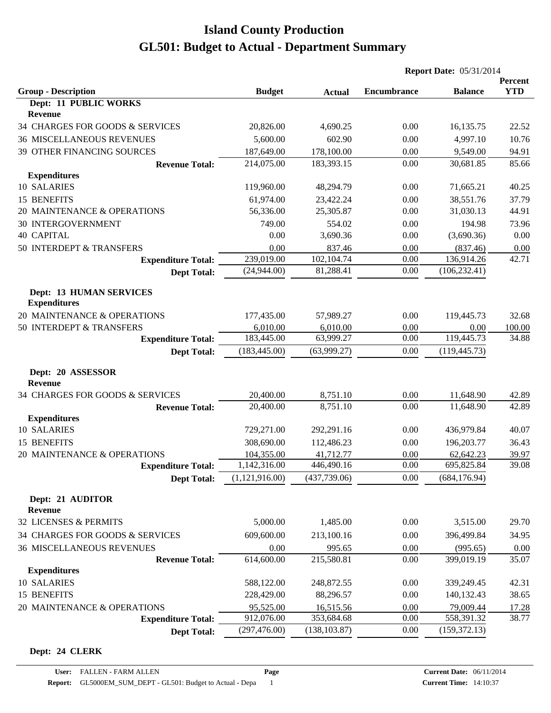|                                                       |                |               | <b>Report Date: 05/31/2014</b> |                |                       |
|-------------------------------------------------------|----------------|---------------|--------------------------------|----------------|-----------------------|
| <b>Group - Description</b>                            | <b>Budget</b>  | <b>Actual</b> | <b>Encumbrance</b>             | <b>Balance</b> | Percent<br><b>YTD</b> |
| Dept: 11 PUBLIC WORKS                                 |                |               |                                |                |                       |
| Revenue                                               |                |               |                                |                |                       |
| 34 CHARGES FOR GOODS & SERVICES                       | 20,826.00      | 4,690.25      | 0.00                           | 16,135.75      | 22.52                 |
| <b>36 MISCELLANEOUS REVENUES</b>                      | 5,600.00       | 602.90        | 0.00                           | 4,997.10       | 10.76                 |
| 39 OTHER FINANCING SOURCES                            | 187,649.00     | 178,100.00    | 0.00                           | 9,549.00       | 94.91                 |
| <b>Revenue Total:</b>                                 | 214,075.00     | 183,393.15    | 0.00                           | 30,681.85      | 85.66                 |
| <b>Expenditures</b>                                   |                |               |                                |                |                       |
| 10 SALARIES                                           | 119,960.00     | 48,294.79     | 0.00                           | 71,665.21      | 40.25                 |
| 15 BENEFITS                                           | 61,974.00      | 23,422.24     | 0.00                           | 38,551.76      | 37.79                 |
| 20 MAINTENANCE & OPERATIONS                           | 56,336.00      | 25,305.87     | 0.00                           | 31,030.13      | 44.91                 |
| <b>30 INTERGOVERNMENT</b>                             | 749.00         | 554.02        | 0.00                           | 194.98         | 73.96                 |
| <b>40 CAPITAL</b>                                     | 0.00           | 3,690.36      | 0.00                           | (3,690.36)     | 0.00                  |
| 50 INTERDEPT & TRANSFERS                              | 0.00           | 837.46        | 0.00                           | (837.46)       | 0.00                  |
| <b>Expenditure Total:</b>                             | 239,019.00     | 102,104.74    | 0.00                           | 136,914.26     | 42.71                 |
| <b>Dept Total:</b>                                    | (24,944.00)    | 81,288.41     | 0.00                           | (106, 232.41)  |                       |
| <b>Dept: 13 HUMAN SERVICES</b><br><b>Expenditures</b> |                |               |                                |                |                       |
| 20 MAINTENANCE & OPERATIONS                           | 177,435.00     | 57,989.27     | 0.00                           | 119,445.73     | 32.68                 |
| 50 INTERDEPT & TRANSFERS                              | 6,010.00       | 6,010.00      | 0.00                           | 0.00           | 100.00                |
| <b>Expenditure Total:</b>                             | 183,445.00     | 63,999.27     | 0.00                           | 119,445.73     | 34.88                 |
| <b>Dept Total:</b>                                    | (183, 445.00)  | (63,999.27)   | 0.00                           | (119, 445.73)  |                       |
| Dept: 20 ASSESSOR<br><b>Revenue</b>                   |                |               |                                |                |                       |
| 34 CHARGES FOR GOODS & SERVICES                       | 20,400.00      | 8,751.10      | 0.00                           | 11,648.90      | 42.89                 |
| <b>Revenue Total:</b>                                 | 20,400.00      | 8,751.10      | 0.00                           | 11,648.90      | 42.89                 |
| <b>Expenditures</b>                                   |                |               |                                |                |                       |
| 10 SALARIES                                           | 729,271.00     | 292,291.16    | 0.00                           | 436,979.84     | 40.07                 |
| 15 BENEFITS                                           | 308,690.00     | 112,486.23    | 0.00                           | 196,203.77     | 36.43                 |
| 20 MAINTENANCE & OPERATIONS                           | 104,355.00     | 41,712.77     | 0.00                           | 62,642.23      | 39.97                 |
| <b>Expenditure Total:</b>                             | 1,142,316.00   | 446,490.16    | 0.00                           | 695,825.84     | 39.08                 |
| <b>Dept Total:</b>                                    | (1,121,916.00) | (437,739.06)  | 0.00                           | (684, 176.94)  |                       |
| Dept: 21 AUDITOR<br><b>Revenue</b>                    |                |               |                                |                |                       |
| 32 LICENSES & PERMITS                                 | 5,000.00       | 1,485.00      | 0.00                           | 3,515.00       | 29.70                 |
| 34 CHARGES FOR GOODS & SERVICES                       | 609,600.00     | 213,100.16    | 0.00                           | 396,499.84     | 34.95                 |
| <b>36 MISCELLANEOUS REVENUES</b>                      | 0.00           | 995.65        | 0.00                           | (995.65)       | 0.00                  |
| <b>Revenue Total:</b>                                 | 614,600.00     | 215,580.81    | 0.00                           | 399,019.19     | 35.07                 |
| <b>Expenditures</b>                                   |                |               |                                |                |                       |
| 10 SALARIES                                           | 588,122.00     | 248,872.55    | 0.00                           | 339,249.45     | 42.31                 |
| 15 BENEFITS                                           | 228,429.00     | 88,296.57     | 0.00                           | 140,132.43     | 38.65                 |
| 20 MAINTENANCE & OPERATIONS                           | 95,525.00      | 16,515.56     | 0.00                           | 79,009.44      | 17.28                 |
| <b>Expenditure Total:</b>                             | 912,076.00     | 353,684.68    | 0.00                           | 558,391.32     | 38.77                 |
| <b>Dept Total:</b>                                    | (297, 476.00)  | (138, 103.87) | 0.00                           | (159, 372.13)  |                       |

#### **Dept: 24 CLERK**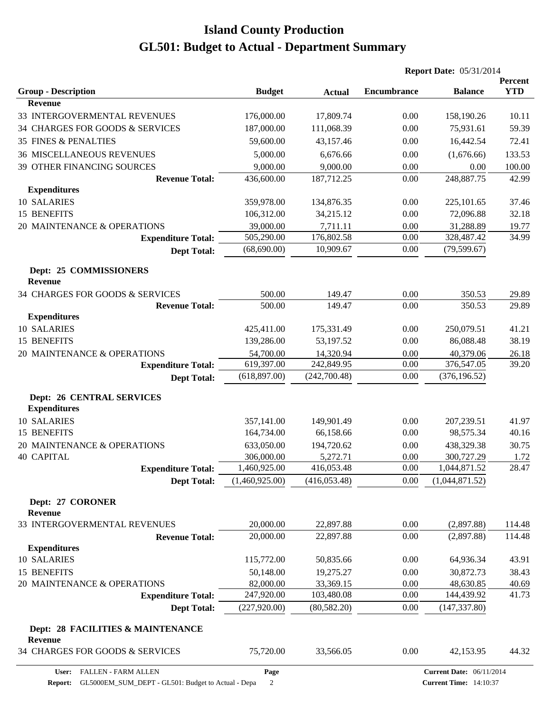|                                                         |                |               | <b>Report Date: 05/31/2014</b> |                                 |                       |  |
|---------------------------------------------------------|----------------|---------------|--------------------------------|---------------------------------|-----------------------|--|
| <b>Group - Description</b>                              | <b>Budget</b>  | <b>Actual</b> | <b>Encumbrance</b>             | <b>Balance</b>                  | Percent<br><b>YTD</b> |  |
| <b>Revenue</b>                                          |                |               |                                |                                 |                       |  |
| 33 INTERGOVERMENTAL REVENUES                            | 176,000.00     | 17,809.74     | 0.00                           | 158,190.26                      | 10.11                 |  |
| 34 CHARGES FOR GOODS & SERVICES                         | 187,000.00     | 111,068.39    | 0.00                           | 75,931.61                       | 59.39                 |  |
| <b>35 FINES &amp; PENALTIES</b>                         | 59,600.00      | 43,157.46     | 0.00                           | 16,442.54                       | 72.41                 |  |
| <b>36 MISCELLANEOUS REVENUES</b>                        | 5,000.00       | 6,676.66      | 0.00                           | (1,676.66)                      | 133.53                |  |
| 39 OTHER FINANCING SOURCES                              | 9,000.00       | 9,000.00      | 0.00                           | 0.00                            | 100.00                |  |
| <b>Revenue Total:</b>                                   | 436,600.00     | 187,712.25    | 0.00                           | 248,887.75                      | 42.99                 |  |
| <b>Expenditures</b>                                     |                |               |                                |                                 |                       |  |
| 10 SALARIES                                             | 359,978.00     | 134,876.35    | 0.00                           | 225,101.65                      | 37.46                 |  |
| 15 BENEFITS                                             | 106,312.00     | 34,215.12     | 0.00                           | 72,096.88                       | 32.18                 |  |
| 20 MAINTENANCE & OPERATIONS                             | 39,000.00      | 7,711.11      | 0.00                           | 31,288.89                       | 19.77                 |  |
| <b>Expenditure Total:</b>                               | 505,290.00     | 176,802.58    | 0.00                           | 328,487.42                      | 34.99                 |  |
| <b>Dept Total:</b>                                      | (68, 690.00)   | 10,909.67     | 0.00                           | (79, 599.67)                    |                       |  |
| Dept: 25 COMMISSIONERS<br><b>Revenue</b>                |                |               |                                |                                 |                       |  |
| 34 CHARGES FOR GOODS & SERVICES                         | 500.00         | 149.47        | 0.00                           | 350.53                          | 29.89                 |  |
| <b>Revenue Total:</b>                                   | 500.00         | 149.47        | 0.00                           | 350.53                          | 29.89                 |  |
| <b>Expenditures</b>                                     |                |               |                                |                                 |                       |  |
| 10 SALARIES                                             | 425,411.00     | 175,331.49    | 0.00                           | 250,079.51                      | 41.21                 |  |
| 15 BENEFITS                                             | 139,286.00     | 53,197.52     | 0.00                           | 86,088.48                       | 38.19                 |  |
| 20 MAINTENANCE & OPERATIONS                             | 54,700.00      | 14,320.94     | 0.00                           | 40,379.06                       | 26.18                 |  |
| <b>Expenditure Total:</b>                               | 619,397.00     | 242,849.95    | 0.00                           | 376,547.05                      | 39.20                 |  |
| <b>Dept Total:</b>                                      | (618, 897.00)  | (242,700.48)  | 0.00                           | (376, 196.52)                   |                       |  |
| <b>Dept: 26 CENTRAL SERVICES</b><br><b>Expenditures</b> |                |               |                                |                                 |                       |  |
| 10 SALARIES                                             | 357,141.00     | 149,901.49    | 0.00                           | 207,239.51                      | 41.97                 |  |
| 15 BENEFITS                                             | 164,734.00     | 66,158.66     | 0.00                           | 98,575.34                       | 40.16                 |  |
| 20 MAINTENANCE & OPERATIONS                             | 633,050.00     | 194,720.62    | 0.00                           | 438,329.38                      | 30.75                 |  |
| <b>40 CAPITAL</b>                                       | 306,000.00     | 5,272.71      | 0.00                           | 300,727.29                      | 1.72                  |  |
| <b>Expenditure Total:</b>                               | 1,460,925.00   | 416,053.48    | 0.00                           | ,044,871.52                     | 28.47                 |  |
| <b>Dept Total:</b>                                      | (1,460,925.00) | (416, 053.48) | 0.00                           | (1,044,871.52)                  |                       |  |
| Dept: 27 CORONER<br><b>Revenue</b>                      |                |               |                                |                                 |                       |  |
| 33 INTERGOVERMENTAL REVENUES                            | 20,000.00      | 22,897.88     | 0.00                           | (2,897.88)                      | 114.48                |  |
| <b>Revenue Total:</b>                                   | 20,000.00      | 22,897.88     | 0.00                           | (2,897.88)                      | 114.48                |  |
| <b>Expenditures</b>                                     |                |               |                                |                                 |                       |  |
| 10 SALARIES                                             | 115,772.00     | 50,835.66     | 0.00                           | 64,936.34                       | 43.91                 |  |
| 15 BENEFITS                                             | 50,148.00      | 19,275.27     | 0.00                           | 30,872.73                       | 38.43                 |  |
| 20 MAINTENANCE & OPERATIONS                             | 82,000.00      | 33,369.15     | 0.00                           | 48,630.85                       | 40.69                 |  |
| <b>Expenditure Total:</b>                               | 247,920.00     | 103,480.08    | 0.00                           | 144,439.92                      | 41.73                 |  |
| <b>Dept Total:</b>                                      | (227, 920.00)  | (80, 582.20)  | 0.00                           | (147, 337.80)                   |                       |  |
| Dept: 28 FACILITIES & MAINTENANCE<br>Revenue            |                |               |                                |                                 |                       |  |
| 34 CHARGES FOR GOODS & SERVICES                         | 75,720.00      | 33,566.05     | 0.00                           | 42,153.95                       | 44.32                 |  |
| User: FALLEN - FARM ALLEN                               | Page           |               |                                | <b>Current Date: 06/11/2014</b> |                       |  |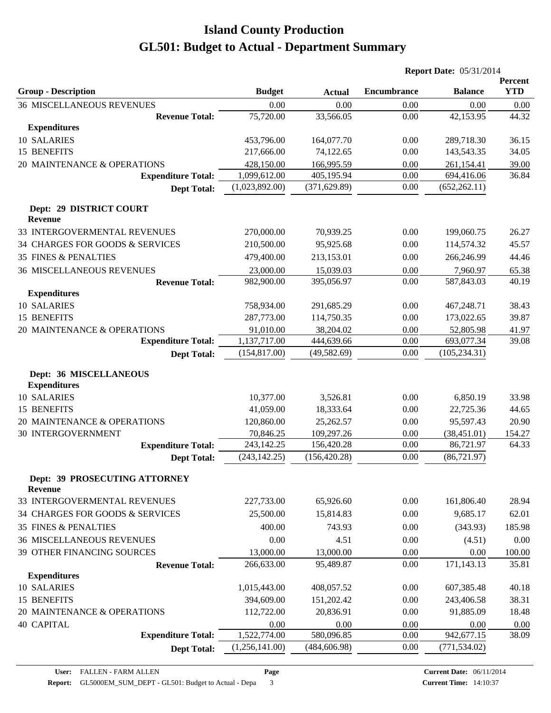|                                                      |                |               |                    | <b>Report Date: 05/31/2014</b> |                       |  |
|------------------------------------------------------|----------------|---------------|--------------------|--------------------------------|-----------------------|--|
| <b>Group - Description</b>                           | <b>Budget</b>  | <b>Actual</b> | <b>Encumbrance</b> | <b>Balance</b>                 | Percent<br><b>YTD</b> |  |
| <b>36 MISCELLANEOUS REVENUES</b>                     | 0.00           | 0.00          | 0.00               | 0.00                           | 0.00                  |  |
| <b>Revenue Total:</b>                                | 75,720.00      | 33,566.05     | 0.00               | 42,153.95                      | 44.32                 |  |
| <b>Expenditures</b>                                  |                |               |                    |                                |                       |  |
| 10 SALARIES                                          | 453,796.00     | 164,077.70    | 0.00               | 289,718.30                     | 36.15                 |  |
| 15 BENEFITS                                          | 217,666.00     | 74,122.65     | 0.00               | 143,543.35                     | 34.05                 |  |
| 20 MAINTENANCE & OPERATIONS                          | 428,150.00     | 166,995.59    | 0.00               | 261,154.41                     | 39.00                 |  |
| <b>Expenditure Total:</b>                            | 1,099,612.00   | 405,195.94    | 0.00               | 694,416.06                     | 36.84                 |  |
| <b>Dept Total:</b>                                   | (1,023,892.00) | (371, 629.89) | 0.00               | (652, 262.11)                  |                       |  |
| Dept: 29 DISTRICT COURT<br><b>Revenue</b>            |                |               |                    |                                |                       |  |
| 33 INTERGOVERMENTAL REVENUES                         | 270,000.00     | 70,939.25     | 0.00               | 199,060.75                     | 26.27                 |  |
| 34 CHARGES FOR GOODS & SERVICES                      | 210,500.00     | 95,925.68     | 0.00               | 114,574.32                     | 45.57                 |  |
| <b>35 FINES &amp; PENALTIES</b>                      | 479,400.00     | 213,153.01    | 0.00               | 266,246.99                     | 44.46                 |  |
| <b>36 MISCELLANEOUS REVENUES</b>                     | 23,000.00      | 15,039.03     | 0.00               | 7,960.97                       | 65.38                 |  |
| <b>Revenue Total:</b>                                | 982,900.00     | 395,056.97    | 0.00               | 587,843.03                     | 40.19                 |  |
| <b>Expenditures</b>                                  |                |               |                    |                                |                       |  |
| 10 SALARIES                                          | 758,934.00     | 291,685.29    | 0.00               | 467,248.71                     | 38.43                 |  |
| 15 BENEFITS                                          | 287,773.00     | 114,750.35    | 0.00               | 173,022.65                     | 39.87                 |  |
| 20 MAINTENANCE & OPERATIONS                          | 91,010.00      | 38,204.02     | 0.00               | 52,805.98                      | 41.97                 |  |
| <b>Expenditure Total:</b>                            | 1,137,717.00   | 444,639.66    | 0.00               | 693,077.34                     | 39.08                 |  |
| <b>Dept Total:</b>                                   | (154, 817.00)  | (49, 582.69)  | 0.00               | (105, 234.31)                  |                       |  |
| <b>Dept: 36 MISCELLANEOUS</b><br><b>Expenditures</b> |                |               |                    |                                |                       |  |
| 10 SALARIES                                          | 10,377.00      | 3,526.81      | 0.00               | 6,850.19                       | 33.98                 |  |
| 15 BENEFITS                                          | 41,059.00      | 18,333.64     | 0.00               | 22,725.36                      | 44.65                 |  |
| 20 MAINTENANCE & OPERATIONS                          | 120,860.00     | 25,262.57     | 0.00               | 95,597.43                      | 20.90                 |  |
| 30 INTERGOVERNMENT                                   | 70,846.25      | 109,297.26    | 0.00               | (38, 451.01)                   | 154.27                |  |
| <b>Expenditure Total:</b>                            | 243,142.25     | 156,420.28    | 0.00               | 86,721.97                      | 64.33                 |  |
| <b>Dept Total:</b>                                   | (243, 142.25)  | (156, 420.28) | 0.00               | (86, 721.97)                   |                       |  |
| Dept: 39 PROSECUTING ATTORNEY<br>Revenue             |                |               |                    |                                |                       |  |
| 33 INTERGOVERMENTAL REVENUES                         | 227,733.00     | 65,926.60     | 0.00               | 161,806.40                     | 28.94                 |  |
| 34 CHARGES FOR GOODS & SERVICES                      | 25,500.00      | 15,814.83     | 0.00               | 9,685.17                       | 62.01                 |  |
| <b>35 FINES &amp; PENALTIES</b>                      | 400.00         | 743.93        | 0.00               | (343.93)                       | 185.98                |  |
| <b>36 MISCELLANEOUS REVENUES</b>                     | 0.00           | 4.51          | 0.00               | (4.51)                         | 0.00                  |  |
| 39 OTHER FINANCING SOURCES                           | 13,000.00      | 13,000.00     | 0.00               | 0.00                           | 100.00                |  |
| <b>Revenue Total:</b>                                | 266,633.00     | 95,489.87     | 0.00               | 171,143.13                     | 35.81                 |  |
| <b>Expenditures</b>                                  |                |               |                    |                                |                       |  |
| 10 SALARIES                                          | 1,015,443.00   | 408,057.52    | 0.00               | 607,385.48                     | 40.18                 |  |
| 15 BENEFITS                                          | 394,609.00     | 151,202.42    | 0.00               | 243,406.58                     | 38.31                 |  |
| 20 MAINTENANCE & OPERATIONS                          | 112,722.00     | 20,836.91     | 0.00               | 91,885.09                      | 18.48                 |  |
| <b>40 CAPITAL</b>                                    | 0.00           | 0.00          | 0.00               | 0.00                           | 0.00                  |  |
| <b>Expenditure Total:</b>                            | 1,522,774.00   | 580,096.85    | 0.00               | 942,677.15                     | 38.09                 |  |
| <b>Dept Total:</b>                                   | (1,256,141.00) | (484, 606.98) | 0.00               | (771, 534.02)                  |                       |  |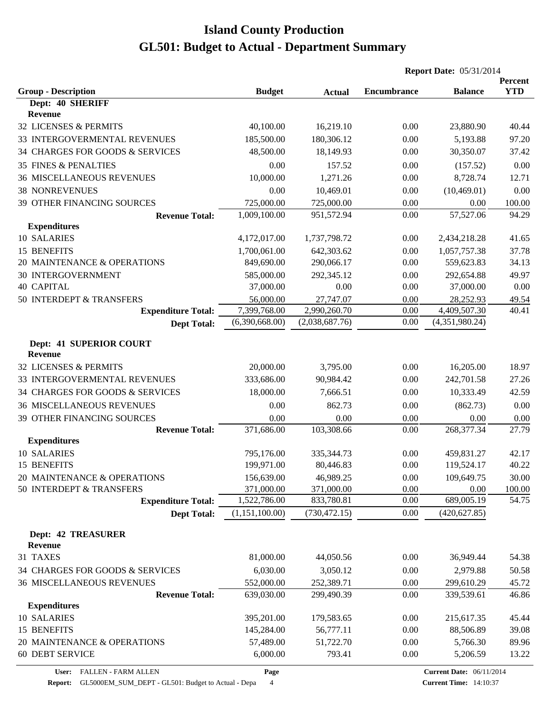|                                                       |                            |                          | <b>Report Date: 05/31/2014</b> |                    |                       |
|-------------------------------------------------------|----------------------------|--------------------------|--------------------------------|--------------------|-----------------------|
|                                                       |                            |                          | <b>Encumbrance</b>             |                    | Percent<br><b>YTD</b> |
| <b>Group - Description</b><br>Dept: 40 SHERIFF        | <b>Budget</b>              | <b>Actual</b>            |                                | <b>Balance</b>     |                       |
| Revenue                                               |                            |                          |                                |                    |                       |
| 32 LICENSES & PERMITS                                 | 40,100.00                  | 16,219.10                | 0.00                           | 23,880.90          | 40.44                 |
| 33 INTERGOVERMENTAL REVENUES                          | 185,500.00                 | 180,306.12               | 0.00                           | 5,193.88           | 97.20                 |
| 34 CHARGES FOR GOODS & SERVICES                       | 48,500.00                  | 18,149.93                | 0.00                           | 30,350.07          | 37.42                 |
| <b>35 FINES &amp; PENALTIES</b>                       | 0.00                       | 157.52                   | 0.00                           | (157.52)           | 0.00                  |
| <b>36 MISCELLANEOUS REVENUES</b>                      | 10,000.00                  | 1,271.26                 | 0.00                           | 8,728.74           | 12.71                 |
| <b>38 NONREVENUES</b>                                 | 0.00                       | 10,469.01                | 0.00                           | (10, 469.01)       | 0.00                  |
| 39 OTHER FINANCING SOURCES                            | 725,000.00                 | 725,000.00               | 0.00                           | 0.00               | 100.00                |
| <b>Revenue Total:</b>                                 | 1,009,100.00               | 951,572.94               | 0.00                           | 57,527.06          | 94.29                 |
| <b>Expenditures</b>                                   |                            |                          |                                |                    |                       |
| 10 SALARIES                                           | 4,172,017.00               | 1,737,798.72             | 0.00                           | 2,434,218.28       | 41.65                 |
| 15 BENEFITS                                           | 1,700,061.00               | 642,303.62               | 0.00                           | 1,057,757.38       | 37.78                 |
| 20 MAINTENANCE & OPERATIONS                           | 849,690.00                 | 290,066.17               | 0.00                           | 559,623.83         | 34.13                 |
| <b>30 INTERGOVERNMENT</b>                             | 585,000.00                 | 292,345.12               | 0.00                           | 292,654.88         | 49.97                 |
| <b>40 CAPITAL</b>                                     | 37,000.00                  | 0.00                     | 0.00                           | 37,000.00          | 0.00                  |
| 50 INTERDEPT & TRANSFERS                              | 56,000.00                  | 27,747.07                | 0.00                           | 28,252.93          | 49.54                 |
| <b>Expenditure Total:</b>                             | 7,399,768.00               | 2,990,260.70             | 0.00                           | 4,409,507.30       | 40.41                 |
| <b>Dept Total:</b>                                    | (6,390,668.00)             | (2,038,687.76)           | 0.00                           | (4,351,980.24)     |                       |
|                                                       |                            |                          |                                |                    |                       |
| Dept: 41 SUPERIOR COURT                               |                            |                          |                                |                    |                       |
| <b>Revenue</b>                                        |                            |                          |                                |                    |                       |
| 32 LICENSES & PERMITS                                 | 20,000.00                  | 3,795.00                 | 0.00                           | 16,205.00          | 18.97                 |
| 33 INTERGOVERMENTAL REVENUES                          | 333,686.00                 | 90,984.42                | 0.00                           | 242,701.58         | 27.26                 |
| 34 CHARGES FOR GOODS & SERVICES                       | 18,000.00                  | 7,666.51                 | 0.00                           | 10,333.49          | 42.59                 |
| <b>36 MISCELLANEOUS REVENUES</b>                      | 0.00                       | 862.73                   | 0.00                           | (862.73)           | 0.00                  |
| 39 OTHER FINANCING SOURCES                            | 0.00                       | 0.00                     | 0.00                           | 0.00               | 0.00                  |
| <b>Revenue Total:</b>                                 | 371,686.00                 | 103,308.66               | 0.00                           | 268,377.34         | 27.79                 |
| <b>Expenditures</b>                                   |                            |                          |                                |                    |                       |
| 10 SALARIES                                           | 795,176.00                 | 335, 344. 73             | 0.00                           | 459,831.27         | 42.17                 |
| 15 BENEFITS                                           | 199,971.00                 | 80,446.83                | 0.00                           | 119,524.17         | 40.22                 |
| 20 MAINTENANCE & OPERATIONS                           | 156,639.00                 | 46,989.25                | 0.00                           | 109,649.75         | 30.00<br>100.00       |
| 50 INTERDEPT & TRANSFERS<br><b>Expenditure Total:</b> | 371,000.00<br>1,522,786.00 | 371,000.00<br>833,780.81 | 0.00<br>0.00                   | 0.00<br>689,005.19 | 54.75                 |
| <b>Dept Total:</b>                                    | (1,151,100.00)             | (730, 472.15)            | 0.00                           | (420, 627.85)      |                       |
|                                                       |                            |                          |                                |                    |                       |
| <b>Dept: 42 TREASURER</b>                             |                            |                          |                                |                    |                       |
| Revenue                                               |                            |                          |                                |                    |                       |
| 31 TAXES                                              | 81,000.00                  | 44,050.56                | 0.00                           | 36,949.44          | 54.38                 |
| 34 CHARGES FOR GOODS & SERVICES                       | 6,030.00                   | 3,050.12                 | 0.00                           | 2,979.88           | 50.58                 |
| <b>36 MISCELLANEOUS REVENUES</b>                      | 552,000.00                 | 252,389.71               | 0.00                           | 299,610.29         | 45.72                 |
| <b>Revenue Total:</b>                                 | 639,030.00                 | 299,490.39               | 0.00                           | 339,539.61         | 46.86                 |
| <b>Expenditures</b>                                   |                            |                          |                                |                    |                       |
| 10 SALARIES                                           | 395,201.00                 | 179,583.65               | 0.00                           | 215,617.35         | 45.44                 |
| 15 BENEFITS                                           | 145,284.00                 | 56,777.11                | 0.00                           | 88,506.89          | 39.08                 |
| 20 MAINTENANCE & OPERATIONS                           | 57,489.00                  | 51,722.70                | 0.00                           | 5,766.30           | 89.96                 |
| 60 DEBT SERVICE                                       | 6,000.00                   | 793.41                   | 0.00                           | 5,206.59           | 13.22                 |

**Page**

**Report:** GL5000EM\_SUM\_DEPT - GL501: Budget to Actual - Depa 4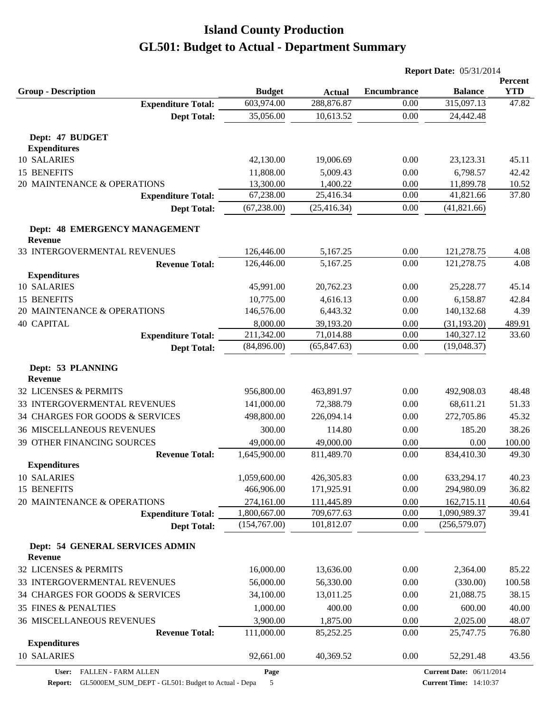|                                                   |               |               | <b>Report Date: 05/31/2014</b> |                                 |                       |  |
|---------------------------------------------------|---------------|---------------|--------------------------------|---------------------------------|-----------------------|--|
| <b>Group - Description</b>                        | <b>Budget</b> | <b>Actual</b> | <b>Encumbrance</b>             | <b>Balance</b>                  | Percent<br><b>YTD</b> |  |
| <b>Expenditure Total:</b>                         | 603,974.00    | 288,876.87    | 0.00                           | 315,097.13                      | 47.82                 |  |
| <b>Dept Total:</b>                                | 35,056.00     | 10,613.52     | 0.00                           | 24,442.48                       |                       |  |
| Dept: 47 BUDGET<br><b>Expenditures</b>            |               |               |                                |                                 |                       |  |
| 10 SALARIES                                       | 42,130.00     | 19,006.69     | 0.00                           | 23,123.31                       | 45.11                 |  |
| 15 BENEFITS                                       | 11,808.00     | 5,009.43      | 0.00                           | 6,798.57                        | 42.42                 |  |
| 20 MAINTENANCE & OPERATIONS                       | 13,300.00     | 1,400.22      | 0.00                           | 11,899.78                       | 10.52                 |  |
| <b>Expenditure Total:</b>                         | 67,238.00     | 25,416.34     | 0.00                           | 41,821.66                       | 37.80                 |  |
| <b>Dept Total:</b>                                | (67, 238.00)  | (25, 416.34)  | 0.00                           | (41, 821.66)                    |                       |  |
| Dept: 48 EMERGENCY MANAGEMENT<br><b>Revenue</b>   |               |               |                                |                                 |                       |  |
| 33 INTERGOVERMENTAL REVENUES                      | 126,446.00    | 5,167.25      | 0.00                           | 121,278.75                      | 4.08                  |  |
| <b>Revenue Total:</b>                             | 126,446.00    | 5,167.25      | 0.00                           | 121,278.75                      | 4.08                  |  |
| <b>Expenditures</b>                               |               |               |                                |                                 |                       |  |
| 10 SALARIES                                       | 45,991.00     | 20,762.23     | 0.00                           | 25,228.77                       | 45.14                 |  |
| <b>15 BENEFITS</b>                                | 10,775.00     | 4,616.13      | 0.00                           | 6,158.87                        | 42.84                 |  |
| 20 MAINTENANCE & OPERATIONS                       | 146,576.00    | 6,443.32      | 0.00                           | 140,132.68                      | 4.39                  |  |
| <b>40 CAPITAL</b>                                 | 8,000.00      | 39,193.20     | 0.00                           | (31, 193.20)                    | 489.91                |  |
| <b>Expenditure Total:</b>                         | 211,342.00    | 71,014.88     | 0.00                           | 140,327.12                      | 33.60                 |  |
| <b>Dept Total:</b>                                | (84,896.00)   | (65, 847.63)  | 0.00                           | (19,048.37)                     |                       |  |
| Dept: 53 PLANNING<br><b>Revenue</b>               |               |               |                                |                                 |                       |  |
| 32 LICENSES & PERMITS                             | 956,800.00    | 463,891.97    | 0.00                           | 492,908.03                      | 48.48                 |  |
|                                                   |               |               |                                |                                 |                       |  |
| 33 INTERGOVERMENTAL REVENUES                      | 141,000.00    | 72,388.79     | 0.00                           | 68,611.21                       | 51.33                 |  |
| 34 CHARGES FOR GOODS & SERVICES                   | 498,800.00    | 226,094.14    | 0.00                           | 272,705.86                      | 45.32                 |  |
| <b>36 MISCELLANEOUS REVENUES</b>                  | 300.00        | 114.80        | 0.00                           | 185.20                          | 38.26                 |  |
| 39 OTHER FINANCING SOURCES                        | 49,000.00     | 49,000.00     | 0.00                           | 0.00                            | 100.00                |  |
| <b>Revenue Total:</b><br><b>Expenditures</b>      | 1,645,900.00  | 811,489.70    | 0.00                           | 834,410.30                      | 49.30                 |  |
| <b>10 SALARIES</b>                                | 1,059,600.00  | 426,305.83    | 0.00                           | 633,294.17                      | 40.23                 |  |
| 15 BENEFITS                                       | 466,906.00    | 171,925.91    | 0.00                           | 294,980.09                      | 36.82                 |  |
| 20 MAINTENANCE & OPERATIONS                       | 274,161.00    | 111,445.89    | 0.00                           | 162,715.11                      | 40.64                 |  |
| <b>Expenditure Total:</b>                         | 1,800,667.00  | 709,677.63    | 0.00                           | 1,090,989.37                    | 39.41                 |  |
| <b>Dept Total:</b>                                | (154,767.00)  | 101,812.07    | 0.00                           | (256, 579.07)                   |                       |  |
| Dept: 54 GENERAL SERVICES ADMIN<br><b>Revenue</b> |               |               |                                |                                 |                       |  |
| 32 LICENSES & PERMITS                             | 16,000.00     | 13,636.00     | 0.00                           | 2,364.00                        | 85.22                 |  |
| 33 INTERGOVERMENTAL REVENUES                      | 56,000.00     | 56,330.00     | 0.00                           | (330.00)                        | 100.58                |  |
| 34 CHARGES FOR GOODS & SERVICES                   | 34,100.00     | 13,011.25     | 0.00                           | 21,088.75                       | 38.15                 |  |
| <b>35 FINES &amp; PENALTIES</b>                   | 1,000.00      | 400.00        | 0.00                           | 600.00                          | 40.00                 |  |
| <b>36 MISCELLANEOUS REVENUES</b>                  | 3,900.00      | 1,875.00      | 0.00                           | 2,025.00                        | 48.07                 |  |
| <b>Revenue Total:</b>                             | 111,000.00    | 85,252.25     | 0.00                           | 25,747.75                       | 76.80                 |  |
| <b>Expenditures</b>                               |               |               |                                |                                 |                       |  |
| 10 SALARIES                                       | 92,661.00     | 40,369.52     | 0.00                           | 52,291.48                       | 43.56                 |  |
| User: FALLEN - FARM ALLEN                         | Page          |               |                                | <b>Current Date: 06/11/2014</b> |                       |  |

**Report:** GL5000EM\_SUM\_DEPT - GL501: Budget to Actual - Depa 5